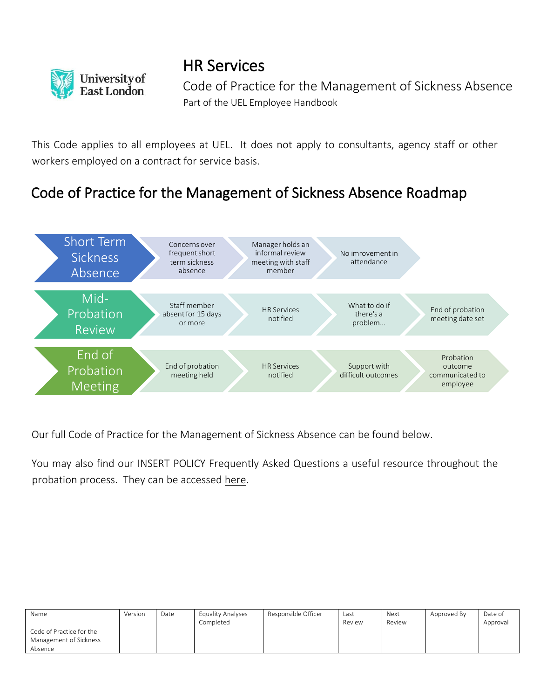

HR Services

Code of Practice for the Management of Sickness Absence Part of the UEL Employee Handbook

This Code applies to all employees at UEL. It does not apply to consultants, agency staff or other workers employed on a contract for service basis.

# Code of Practice for the Management of Sickness Absence Roadmap



Our full Code of Practice for the Management of Sickness Absence can be found below.

You may also find our INSERT POLICY Frequently Asked Questions a useful resource throughout the probation process. They can be accessed here.

| Name                     | Version | Date | Equality Analyses | Responsible Officer | Last   | Next   | Approved By | Date of  |
|--------------------------|---------|------|-------------------|---------------------|--------|--------|-------------|----------|
|                          |         |      | Completed         |                     | Review | Review |             | Approval |
| Code of Practice for the |         |      |                   |                     |        |        |             |          |
| Management of Sickness   |         |      |                   |                     |        |        |             |          |
| Absence                  |         |      |                   |                     |        |        |             |          |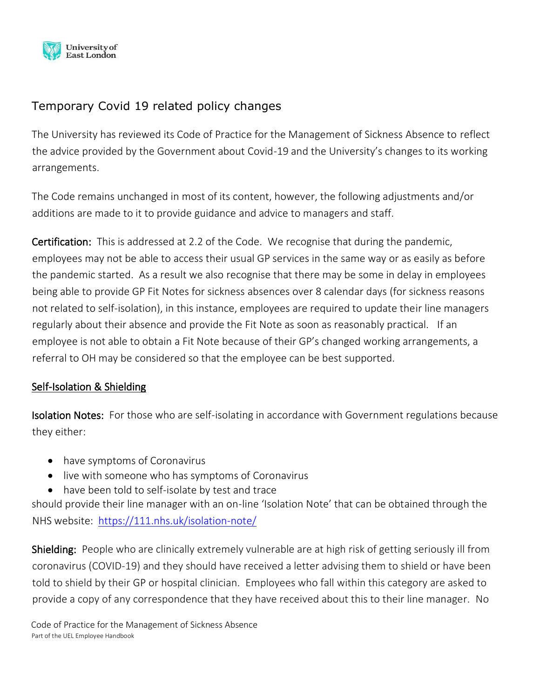

# Temporary Covid 19 related policy changes

The University has reviewed its Code of Practice for the Management of Sickness Absence to reflect the advice provided by the Government about Covid-19 and the University's changes to its working arrangements.

The Code remains unchanged in most of its content, however, the following adjustments and/or additions are made to it to provide guidance and advice to managers and staff.

Certification: This is addressed at 2.2 of the Code. We recognise that during the pandemic, employees may not be able to access their usual GP services in the same way or as easily as before the pandemic started. As a result we also recognise that there may be some in delay in employees being able to provide GP Fit Notes for sickness absences over 8 calendar days (for sickness reasons not related to self-isolation), in this instance, employees are required to update their line managers regularly about their absence and provide the Fit Note as soon as reasonably practical. If an employee is not able to obtain a Fit Note because of their GP's changed working arrangements, a referral to OH may be considered so that the employee can be best supported.

# Self-Isolation & Shielding

**Isolation Notes:** For those who are self-isolating in accordance with Government regulations because they either:

- have symptoms of Coronavirus
- live with someone who has symptoms of Coronavirus
- have been told to self-isolate by test and trace

should provide their line manager with an on-line 'Isolation Note' that can be obtained through the NHS website: <https://111.nhs.uk/isolation-note/>

Shielding: People who are clinically extremely vulnerable are at high risk of getting seriously ill from coronavirus (COVID-19) and they should have received a letter advising them to shield or have been told to shield by their GP or hospital clinician. Employees who fall within this category are asked to provide a copy of any correspondence that they have received about this to their line manager. No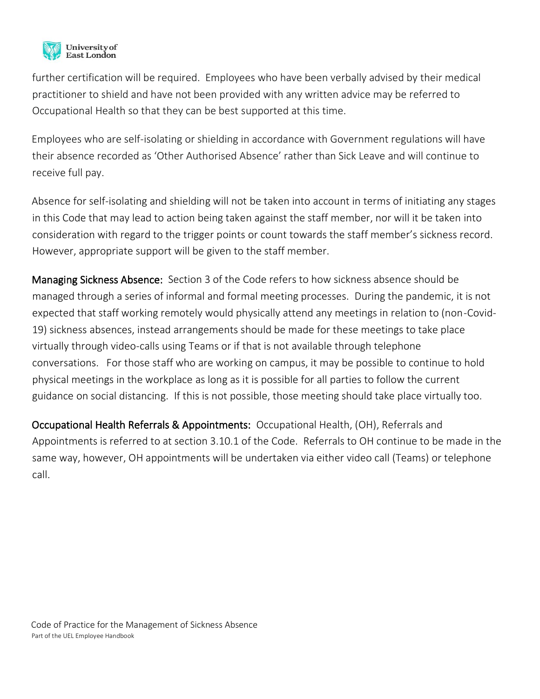

further certification will be required. Employees who have been verbally advised by their medical practitioner to shield and have not been provided with any written advice may be referred to Occupational Health so that they can be best supported at this time.

Employees who are self-isolating or shielding in accordance with Government regulations will have their absence recorded as 'Other Authorised Absence' rather than Sick Leave and will continue to receive full pay.

Absence for self-isolating and shielding will not be taken into account in terms of initiating any stages in this Code that may lead to action being taken against the staff member, nor will it be taken into consideration with regard to the trigger points or count towards the staff member's sickness record. However, appropriate support will be given to the staff member.

Managing Sickness Absence: Section 3 of the Code refers to how sickness absence should be managed through a series of informal and formal meeting processes. During the pandemic, it is not expected that staff working remotely would physically attend any meetings in relation to (non-Covid-19) sickness absences, instead arrangements should be made for these meetings to take place virtually through video-calls using Teams or if that is not available through telephone conversations. For those staff who are working on campus, it may be possible to continue to hold physical meetings in the workplace as long as it is possible for all parties to follow the current guidance on social distancing. If this is not possible, those meeting should take place virtually too.

Occupational Health Referrals & Appointments: Occupational Health, (OH), Referrals and Appointments is referred to at section 3.10.1 of the Code. Referrals to OH continue to be made in the same way, however, OH appointments will be undertaken via either video call (Teams) or telephone call.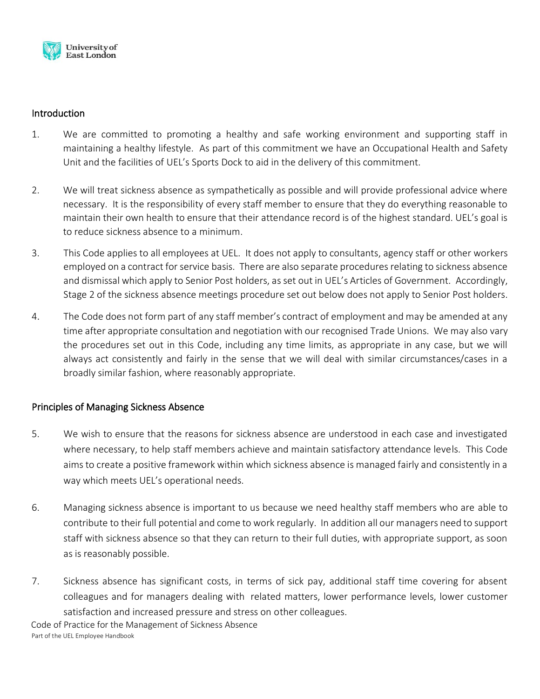

# Introduction

- 1. We are committed to promoting a healthy and safe working environment and supporting staff in maintaining a healthy lifestyle. As part of this commitment we have an Occupational Health and Safety Unit and the facilities of UEL's Sports Dock to aid in the delivery of this commitment.
- 2. We will treat sickness absence as sympathetically as possible and will provide professional advice where necessary. It is the responsibility of every staff member to ensure that they do everything reasonable to maintain their own health to ensure that their attendance record is of the highest standard. UEL's goal is to reduce sickness absence to a minimum.
- 3. This Code applies to all employees at UEL. It does not apply to consultants, agency staff or other workers employed on a contract for service basis. There are also separate procedures relating to sickness absence and dismissal which apply to Senior Post holders, as set out in UEL's Articles of Government. Accordingly, Stage 2 of the sickness absence meetings procedure set out below does not apply to Senior Post holders.
- 4. The Code does not form part of any staff member's contract of employment and may be amended at any time after appropriate consultation and negotiation with our recognised Trade Unions. We may also vary the procedures set out in this Code, including any time limits, as appropriate in any case, but we will always act consistently and fairly in the sense that we will deal with similar circumstances/cases in a broadly similar fashion, where reasonably appropriate.

# Principles of Managing Sickness Absence

- 5. We wish to ensure that the reasons for sickness absence are understood in each case and investigated where necessary, to help staff members achieve and maintain satisfactory attendance levels. This Code aims to create a positive framework within which sickness absence is managed fairly and consistently in a way which meets UEL's operational needs.
- 6. Managing sickness absence is important to us because we need healthy staff members who are able to contribute to their full potential and come to work regularly. In addition all our managers need to support staff with sickness absence so that they can return to their full duties, with appropriate support, as soon as is reasonably possible.
- Code of Practice for the Management of Sickness Absence 7. Sickness absence has significant costs, in terms of sick pay, additional staff time covering for absent colleagues and for managers dealing with related matters, lower performance levels, lower customer satisfaction and increased pressure and stress on other colleagues.

Part of the UEL Employee Handbook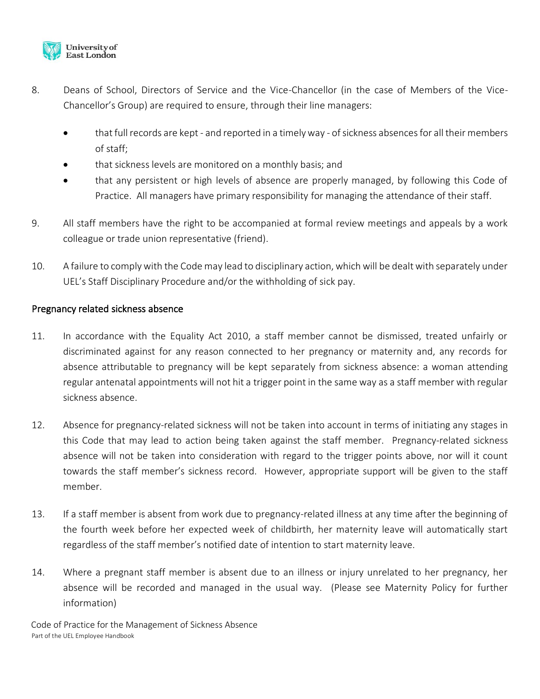

- 8. Deans of School, Directors of Service and the Vice-Chancellor (in the case of Members of the Vice-Chancellor's Group) are required to ensure, through their line managers:
	- that full records are kept and reported in a timely way of sickness absences for all their members of staff;
	- that sickness levels are monitored on a monthly basis; and
	- that any persistent or high levels of absence are properly managed, by following this Code of Practice. All managers have primary responsibility for managing the attendance of their staff.
- 9. All staff members have the right to be accompanied at formal review meetings and appeals by a work colleague or trade union representative (friend).
- 10. A failure to comply with the Code may lead to disciplinary action, which will be dealt with separately under UEL's Staff Disciplinary Procedure and/or the withholding of sick pay.

# Pregnancy related sickness absence

- 11. In accordance with the Equality Act 2010, a staff member cannot be dismissed, treated unfairly or discriminated against for any reason connected to her pregnancy or maternity and, any records for absence attributable to pregnancy will be kept separately from sickness absence: a woman attending regular antenatal appointments will not hit a trigger point in the same way as a staff member with regular sickness absence.
- 12. Absence for pregnancy-related sickness will not be taken into account in terms of initiating any stages in this Code that may lead to action being taken against the staff member. Pregnancy-related sickness absence will not be taken into consideration with regard to the trigger points above, nor will it count towards the staff member's sickness record. However, appropriate support will be given to the staff member.
- 13. If a staff member is absent from work due to pregnancy-related illness at any time after the beginning of the fourth week before her expected week of childbirth, her maternity leave will automatically start regardless of the staff member's notified date of intention to start maternity leave.
- 14. Where a pregnant staff member is absent due to an illness or injury unrelated to her pregnancy, her absence will be recorded and managed in the usual way. (Please see Maternity Policy for further information)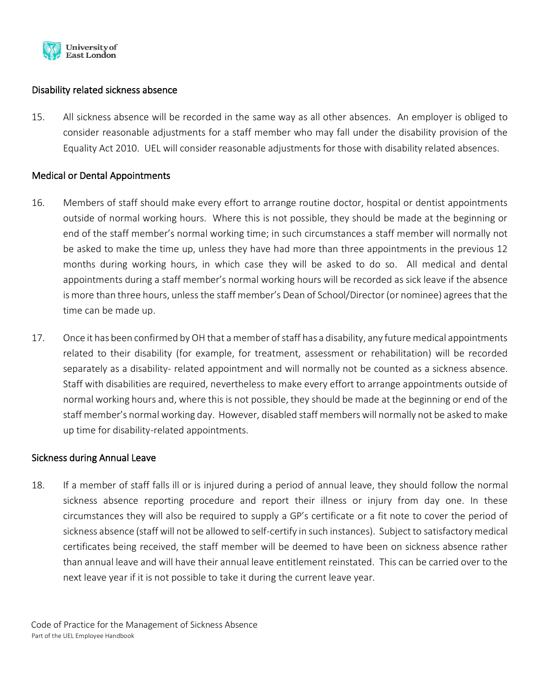

# Disability related sickness absence

15. All sickness absence will be recorded in the same way as all other absences. An employer is obliged to consider reasonable adjustments for a staff member who may fall under the disability provision of the Equality Act 2010. UEL will consider reasonable adjustments for those with disability related absences.

## Medical or Dental Appointments

- 16. Members of staff should make every effort to arrange routine doctor, hospital or dentist appointments outside of normal working hours. Where this is not possible, they should be made at the beginning or end of the staff member's normal working time; in such circumstances a staff member will normally not be asked to make the time up, unless they have had more than three appointments in the previous 12 months during working hours, in which case they will be asked to do so. All medical and dental appointments during a staff member's normal working hours will be recorded as sick leave if the absence is more than three hours, unless the staff member's Dean of School/Director (or nominee) agrees that the time can be made up.
- 17. Once it has been confirmed by OH that a member of staff has a disability, any future medical appointments related to their disability (for example, for treatment, assessment or rehabilitation) will be recorded separately as a disability- related appointment and will normally not be counted as a sickness absence. Staff with disabilities are required, nevertheless to make every effort to arrange appointments outside of normal working hours and, where this is not possible, they should be made at the beginning or end of the staff member's normal working day. However, disabled staff members will normally not be asked to make up time for disability-related appointments.

## Sickness during Annual Leave

18. If a member of staff falls ill or is injured during a period of annual leave, they should follow the normal sickness absence reporting procedure and report their illness or injury from day one. In these circumstances they will also be required to supply a GP's certificate or a fit note to cover the period of sickness absence (staff will not be allowed to self-certify in such instances). Subject to satisfactory medical certificates being received, the staff member will be deemed to have been on sickness absence rather than annual leave and will have their annual leave entitlement reinstated. This can be carried over to the next leave year if it is not possible to take it during the current leave year.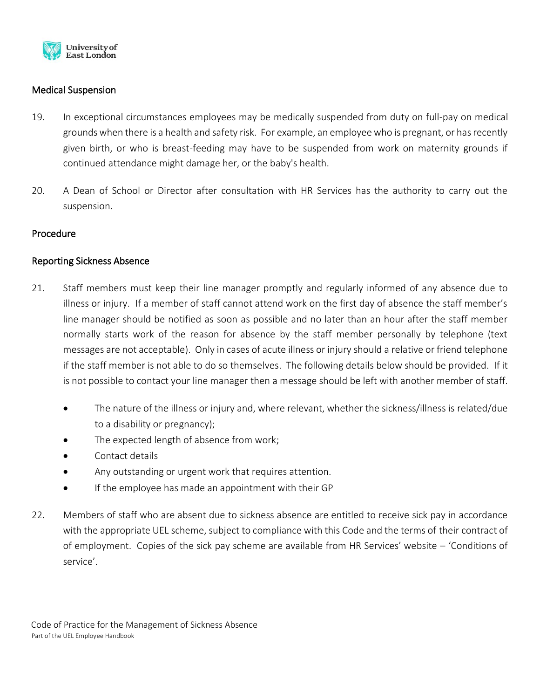

# Medical Suspension

- 19. In exceptional circumstances employees may be medically suspended from duty on full-pay on medical grounds when there is a health and safety risk. For example, an employee who is pregnant, or has recently given birth, or who is breast-feeding may have to be suspended from work on maternity grounds if continued attendance might damage her, or the baby's health.
- 20. A Dean of School or Director after consultation with HR Services has the authority to carry out the suspension.

## Procedure

# Reporting Sickness Absence

- 21. Staff members must keep their line manager promptly and regularly informed of any absence due to illness or injury. If a member of staff cannot attend work on the first day of absence the staff member's line manager should be notified as soon as possible and no later than an hour after the staff member normally starts work of the reason for absence by the staff member personally by telephone (text messages are not acceptable). Only in cases of acute illness or injury should a relative or friend telephone if the staff member is not able to do so themselves. The following details below should be provided. If it is not possible to contact your line manager then a message should be left with another member of staff.
	- The nature of the illness or injury and, where relevant, whether the sickness/illness is related/due to a disability or pregnancy);
	- The expected length of absence from work;
	- Contact details
	- Any outstanding or urgent work that requires attention.
	- If the employee has made an appointment with their GP
- 22. Members of staff who are absent due to sickness absence are entitled to receive sick pay in accordance with the appropriate UEL scheme, subject to compliance with this Code and the terms of their contract of of employment. Copies of the sick pay scheme are available from HR Services' website – 'Conditions of service'.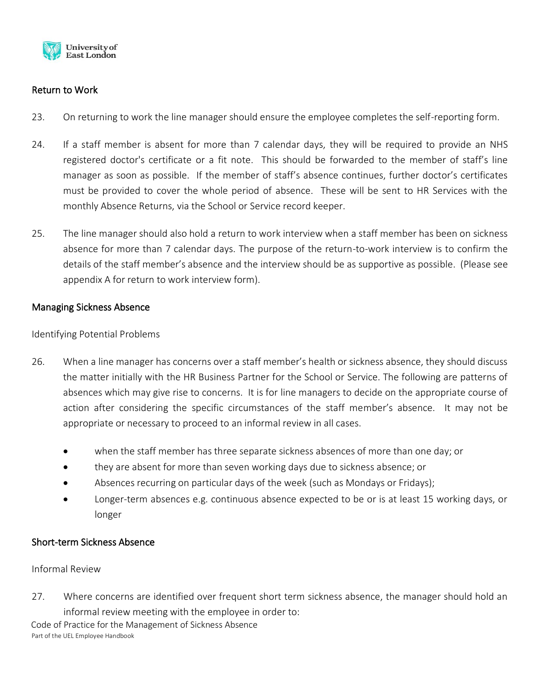

# Return to Work

- 23. On returning to work the line manager should ensure the employee completes the self-reporting form.
- 24. If a staff member is absent for more than 7 calendar days, they will be required to provide an NHS registered doctor's certificate or a fit note. This should be forwarded to the member of staff's line manager as soon as possible. If the member of staff's absence continues, further doctor's certificates must be provided to cover the whole period of absence. These will be sent to HR Services with the monthly Absence Returns, via the School or Service record keeper.
- 25. The line manager should also hold a return to work interview when a staff member has been on sickness absence for more than 7 calendar days. The purpose of the return-to-work interview is to confirm the details of the staff member's absence and the interview should be as supportive as possible. (Please see appendix A for return to work interview form).

## Managing Sickness Absence

Identifying Potential Problems

- 26. When a line manager has concerns over a staff member's health or sickness absence, they should discuss the matter initially with the HR Business Partner for the School or Service. The following are patterns of absences which may give rise to concerns. It is for line managers to decide on the appropriate course of action after considering the specific circumstances of the staff member's absence. It may not be appropriate or necessary to proceed to an informal review in all cases.
	- when the staff member has three separate sickness absences of more than one day; or
	- they are absent for more than seven working days due to sickness absence; or
	- Absences recurring on particular days of the week (such as Mondays or Fridays);
	- Longer-term absences e.g. continuous absence expected to be or is at least 15 working days, or longer

## Short-term Sickness Absence

Informal Review

27. Where concerns are identified over frequent short term sickness absence, the manager should hold an informal review meeting with the employee in order to: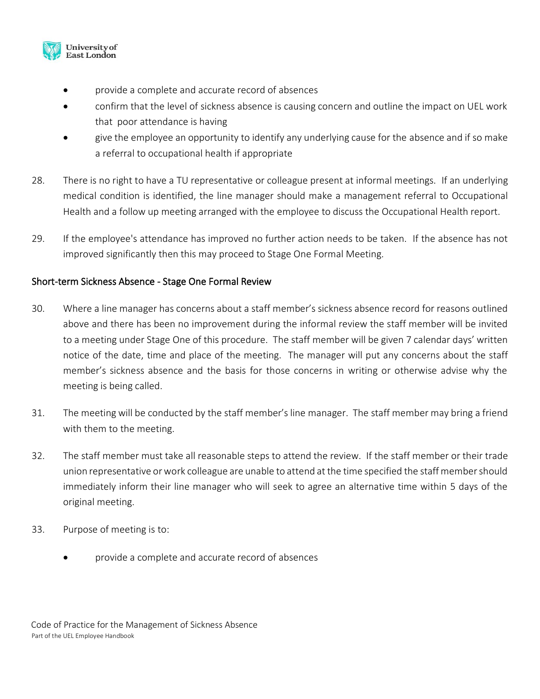

- provide a complete and accurate record of absences
- confirm that the level of sickness absence is causing concern and outline the impact on UEL work that poor attendance is having
- give the employee an opportunity to identify any underlying cause for the absence and if so make a referral to occupational health if appropriate
- 28. There is no right to have a TU representative or colleague present at informal meetings. If an underlying medical condition is identified, the line manager should make a management referral to Occupational Health and a follow up meeting arranged with the employee to discuss the Occupational Health report.
- 29. If the employee's attendance has improved no further action needs to be taken. If the absence has not improved significantly then this may proceed to Stage One Formal Meeting.

# Short-term Sickness Absence - Stage One Formal Review

- 30. Where a line manager has concerns about a staff member's sickness absence record for reasons outlined above and there has been no improvement during the informal review the staff member will be invited to a meeting under Stage One of this procedure. The staff member will be given 7 calendar days' written notice of the date, time and place of the meeting. The manager will put any concerns about the staff member's sickness absence and the basis for those concerns in writing or otherwise advise why the meeting is being called.
- 31. The meeting will be conducted by the staff member's line manager. The staff member may bring a friend with them to the meeting.
- 32. The staff member must take all reasonable steps to attend the review. If the staff member or their trade union representative or work colleague are unable to attend at the time specified the staff member should immediately inform their line manager who will seek to agree an alternative time within 5 days of the original meeting.
- 33. Purpose of meeting is to:
	- provide a complete and accurate record of absences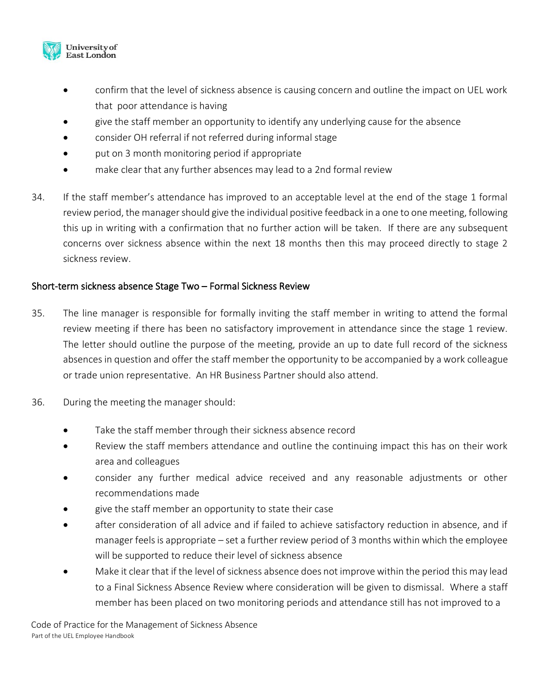

- confirm that the level of sickness absence is causing concern and outline the impact on UEL work that poor attendance is having
- give the staff member an opportunity to identify any underlying cause for the absence
- consider OH referral if not referred during informal stage
- put on 3 month monitoring period if appropriate
- make clear that any further absences may lead to a 2nd formal review
- 34. If the staff member's attendance has improved to an acceptable level at the end of the stage 1 formal review period, the manager should give the individual positive feedback in a one to one meeting, following this up in writing with a confirmation that no further action will be taken. If there are any subsequent concerns over sickness absence within the next 18 months then this may proceed directly to stage 2 sickness review.

# Short-term sickness absence Stage Two – Formal Sickness Review

- 35. The line manager is responsible for formally inviting the staff member in writing to attend the formal review meeting if there has been no satisfactory improvement in attendance since the stage 1 review. The letter should outline the purpose of the meeting, provide an up to date full record of the sickness absences in question and offer the staff member the opportunity to be accompanied by a work colleague or trade union representative. An HR Business Partner should also attend.
- 36. During the meeting the manager should:
	- Take the staff member through their sickness absence record
	- Review the staff members attendance and outline the continuing impact this has on their work area and colleagues
	- consider any further medical advice received and any reasonable adjustments or other recommendations made
	- give the staff member an opportunity to state their case
	- after consideration of all advice and if failed to achieve satisfactory reduction in absence, and if manager feels is appropriate – set a further review period of 3 months within which the employee will be supported to reduce their level of sickness absence
	- Make it clear that if the level of sickness absence does not improve within the period this may lead to a Final Sickness Absence Review where consideration will be given to dismissal. Where a staff member has been placed on two monitoring periods and attendance still has not improved to a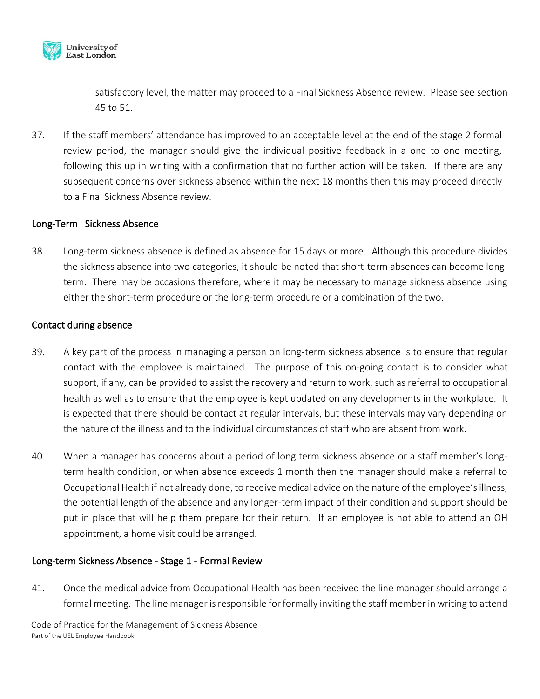

satisfactory level, the matter may proceed to a Final Sickness Absence review. Please see section 45 to 51.

37. If the staff members' attendance has improved to an acceptable level at the end of the stage 2 formal review period, the manager should give the individual positive feedback in a one to one meeting, following this up in writing with a confirmation that no further action will be taken. If there are any subsequent concerns over sickness absence within the next 18 months then this may proceed directly to a Final Sickness Absence review.

## Long-Term Sickness Absence

38. Long-term sickness absence is defined as absence for 15 days or more. Although this procedure divides the sickness absence into two categories, it should be noted that short-term absences can become longterm. There may be occasions therefore, where it may be necessary to manage sickness absence using either the short-term procedure or the long-term procedure or a combination of the two.

#### Contact during absence

- 39. A key part of the process in managing a person on long-term sickness absence is to ensure that regular contact with the employee is maintained. The purpose of this on-going contact is to consider what support, if any, can be provided to assist the recovery and return to work, such as referral to occupational health as well as to ensure that the employee is kept updated on any developments in the workplace. It is expected that there should be contact at regular intervals, but these intervals may vary depending on the nature of the illness and to the individual circumstances of staff who are absent from work.
- 40. When a manager has concerns about a period of long term sickness absence or a staff member's longterm health condition, or when absence exceeds 1 month then the manager should make a referral to Occupational Health if not already done, to receive medical advice on the nature of the employee's illness, the potential length of the absence and any longer-term impact of their condition and support should be put in place that will help them prepare for their return. If an employee is not able to attend an OH appointment, a home visit could be arranged.

## Long-term Sickness Absence - Stage 1 - Formal Review

41. Once the medical advice from Occupational Health has been received the line manager should arrange a formal meeting. The line manager is responsible for formally inviting the staff member in writing to attend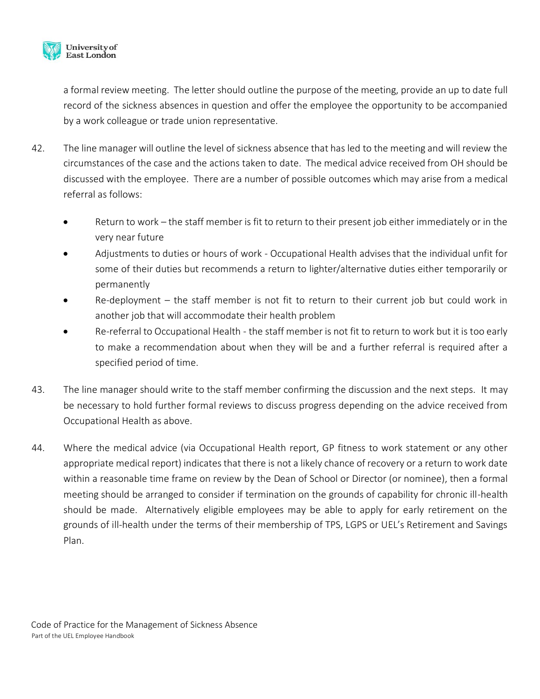

a formal review meeting. The letter should outline the purpose of the meeting, provide an up to date full record of the sickness absences in question and offer the employee the opportunity to be accompanied by a work colleague or trade union representative.

- 42. The line manager will outline the level of sickness absence that has led to the meeting and will review the circumstances of the case and the actions taken to date. The medical advice received from OH should be discussed with the employee. There are a number of possible outcomes which may arise from a medical referral as follows:
	- Return to work the staff member is fit to return to their present job either immediately or in the very near future
	- Adjustments to duties or hours of work Occupational Health advises that the individual unfit for some of their duties but recommends a return to lighter/alternative duties either temporarily or permanently
	- $Re-dependent the staff member is not fit to return to their current job but could work in$ another job that will accommodate their health problem
	- Re-referral to Occupational Health the staff member is not fit to return to work but it is too early to make a recommendation about when they will be and a further referral is required after a specified period of time.
- 43. The line manager should write to the staff member confirming the discussion and the next steps. It may be necessary to hold further formal reviews to discuss progress depending on the advice received from Occupational Health as above.
- 44. Where the medical advice (via Occupational Health report, GP fitness to work statement or any other appropriate medical report) indicates that there is not a likely chance of recovery or a return to work date within a reasonable time frame on review by the Dean of School or Director (or nominee), then a formal meeting should be arranged to consider if termination on the grounds of capability for chronic ill-health should be made. Alternatively eligible employees may be able to apply for early retirement on the grounds of ill-health under the terms of their membership of TPS, LGPS or UEL's Retirement and Savings Plan.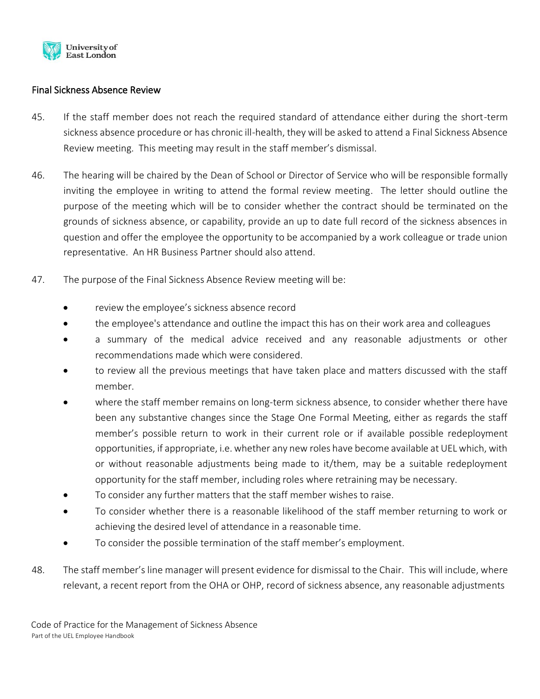

# Final Sickness Absence Review

- 45. If the staff member does not reach the required standard of attendance either during the short-term sickness absence procedure or has chronic ill-health, they will be asked to attend a Final Sickness Absence Review meeting. This meeting may result in the staff member's dismissal.
- 46. The hearing will be chaired by the Dean of School or Director of Service who will be responsible formally inviting the employee in writing to attend the formal review meeting. The letter should outline the purpose of the meeting which will be to consider whether the contract should be terminated on the grounds of sickness absence, or capability, provide an up to date full record of the sickness absences in question and offer the employee the opportunity to be accompanied by a work colleague or trade union representative. An HR Business Partner should also attend.
- 47. The purpose of the Final Sickness Absence Review meeting will be:
	- review the employee's sickness absence record
	- the employee's attendance and outline the impact this has on their work area and colleagues
	- a summary of the medical advice received and any reasonable adjustments or other recommendations made which were considered.
	- to review all the previous meetings that have taken place and matters discussed with the staff member.
	- where the staff member remains on long-term sickness absence, to consider whether there have been any substantive changes since the Stage One Formal Meeting, either as regards the staff member's possible return to work in their current role or if available possible redeployment opportunities, if appropriate, i.e. whether any new roles have become available at UEL which, with or without reasonable adjustments being made to it/them, may be a suitable redeployment opportunity for the staff member, including roles where retraining may be necessary.
	- To consider any further matters that the staff member wishes to raise.
	- To consider whether there is a reasonable likelihood of the staff member returning to work or achieving the desired level of attendance in a reasonable time.
	- To consider the possible termination of the staff member's employment.
- 48. The staff member's line manager will present evidence for dismissal to the Chair. This will include, where relevant, a recent report from the OHA or OHP, record of sickness absence, any reasonable adjustments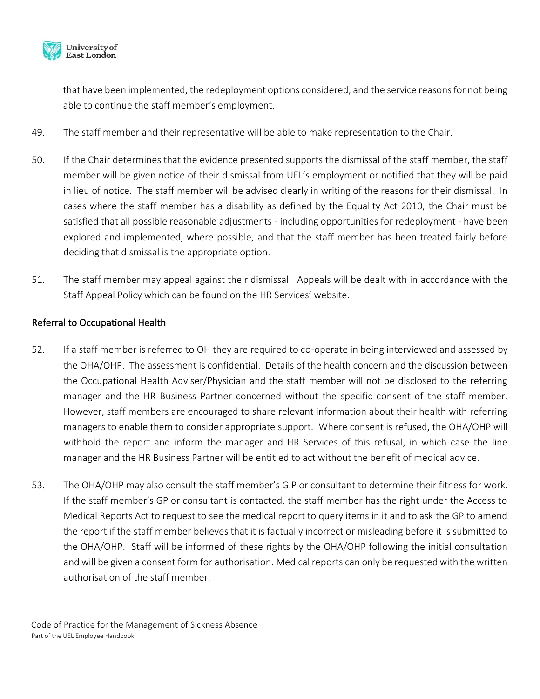

that have been implemented, the redeployment options considered, and the service reasons for not being able to continue the staff member's employment.

- 49. The staff member and their representative will be able to make representation to the Chair.
- 50. If the Chair determines that the evidence presented supports the dismissal of the staff member, the staff member will be given notice of their dismissal from UEL's employment or notified that they will be paid in lieu of notice. The staff member will be advised clearly in writing of the reasons for their dismissal. In cases where the staff member has a disability as defined by the Equality Act 2010, the Chair must be satisfied that all possible reasonable adjustments - including opportunities for redeployment - have been explored and implemented, where possible, and that the staff member has been treated fairly before deciding that dismissal is the appropriate option.
- 51. The staff member may appeal against their dismissal. Appeals will be dealt with in accordance with the Staff Appeal Policy which can be found on the HR Services' website.

# Referral to Occupational Health

- 52. If a staff member is referred to OH they are required to co-operate in being interviewed and assessed by the OHA/OHP. The assessment is confidential. Details of the health concern and the discussion between the Occupational Health Adviser/Physician and the staff member will not be disclosed to the referring manager and the HR Business Partner concerned without the specific consent of the staff member. However, staff members are encouraged to share relevant information about their health with referring managers to enable them to consider appropriate support. Where consent is refused, the OHA/OHP will withhold the report and inform the manager and HR Services of this refusal, in which case the line manager and the HR Business Partner will be entitled to act without the benefit of medical advice.
- 53. The OHA/OHP may also consult the staff member's G.P or consultant to determine their fitness for work. If the staff member's GP or consultant is contacted, the staff member has the right under the Access to Medical Reports Act to request to see the medical report to query items in it and to ask the GP to amend the report if the staff member believes that it is factually incorrect or misleading before it is submitted to the OHA/OHP. Staff will be informed of these rights by the OHA/OHP following the initial consultation and will be given a consent form for authorisation. Medical reports can only be requested with the written authorisation of the staff member.